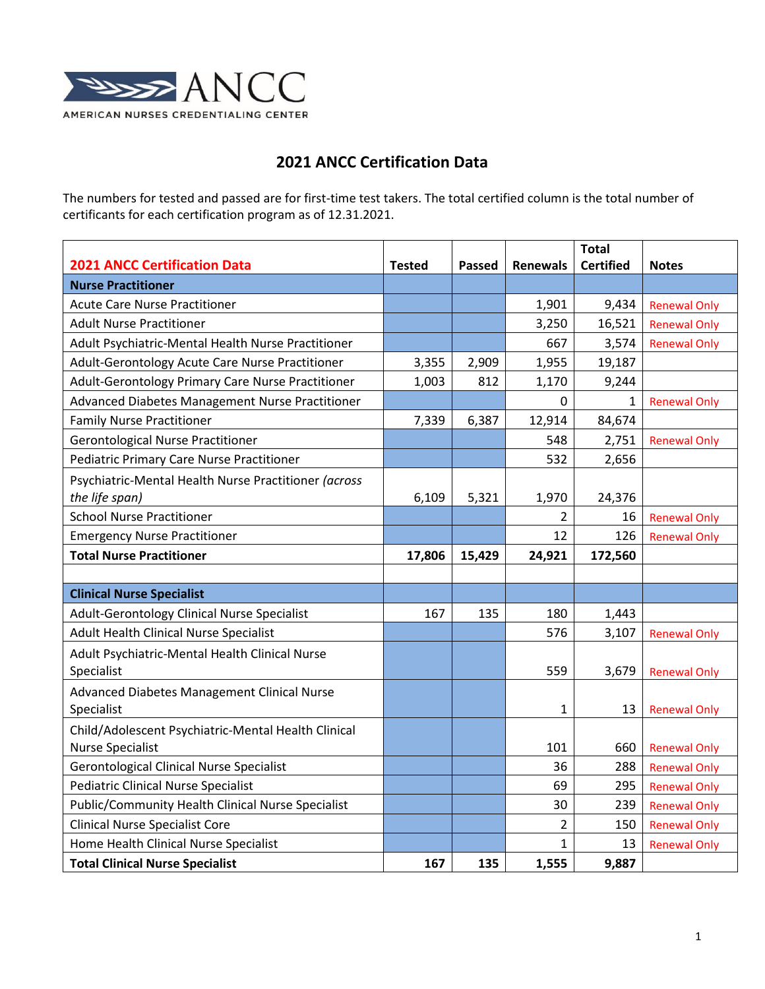

## **2021 ANCC Certification Data**

The numbers for tested and passed are for first-time test takers. The total certified column is the total number of certificants for each certification program as of 12.31.2021.

|                                                      |               |        |                 | <b>Total</b>     |                     |
|------------------------------------------------------|---------------|--------|-----------------|------------------|---------------------|
| <b>2021 ANCC Certification Data</b>                  | <b>Tested</b> | Passed | <b>Renewals</b> | <b>Certified</b> | <b>Notes</b>        |
| <b>Nurse Practitioner</b>                            |               |        |                 |                  |                     |
| <b>Acute Care Nurse Practitioner</b>                 |               |        | 1,901           | 9,434            | <b>Renewal Only</b> |
| <b>Adult Nurse Practitioner</b>                      |               |        | 3,250           | 16,521           | <b>Renewal Only</b> |
| Adult Psychiatric-Mental Health Nurse Practitioner   |               |        | 667             | 3,574            | <b>Renewal Only</b> |
| Adult-Gerontology Acute Care Nurse Practitioner      | 3,355         | 2,909  | 1,955           | 19,187           |                     |
| Adult-Gerontology Primary Care Nurse Practitioner    | 1,003         | 812    | 1,170           | 9,244            |                     |
| Advanced Diabetes Management Nurse Practitioner      |               |        | 0               | 1                | <b>Renewal Only</b> |
| <b>Family Nurse Practitioner</b>                     | 7,339         | 6,387  | 12,914          | 84,674           |                     |
| <b>Gerontological Nurse Practitioner</b>             |               |        | 548             | 2,751            | <b>Renewal Only</b> |
| Pediatric Primary Care Nurse Practitioner            |               |        | 532             | 2,656            |                     |
| Psychiatric-Mental Health Nurse Practitioner (across |               |        |                 |                  |                     |
| the life span)                                       | 6,109         | 5,321  | 1,970           | 24,376           |                     |
| <b>School Nurse Practitioner</b>                     |               |        | $\overline{2}$  | 16               | <b>Renewal Only</b> |
| <b>Emergency Nurse Practitioner</b>                  |               |        | 12              | 126              | <b>Renewal Only</b> |
| <b>Total Nurse Practitioner</b>                      | 17,806        | 15,429 | 24,921          | 172,560          |                     |
|                                                      |               |        |                 |                  |                     |
| <b>Clinical Nurse Specialist</b>                     |               |        |                 |                  |                     |
| Adult-Gerontology Clinical Nurse Specialist          | 167           | 135    | 180             | 1,443            |                     |
| Adult Health Clinical Nurse Specialist               |               |        | 576             | 3,107            | <b>Renewal Only</b> |
| Adult Psychiatric-Mental Health Clinical Nurse       |               |        |                 |                  |                     |
| Specialist                                           |               |        | 559             | 3,679            | <b>Renewal Only</b> |
| Advanced Diabetes Management Clinical Nurse          |               |        |                 |                  |                     |
| Specialist                                           |               |        | 1               | 13               | <b>Renewal Only</b> |
| Child/Adolescent Psychiatric-Mental Health Clinical  |               |        |                 |                  |                     |
| <b>Nurse Specialist</b>                              |               |        | 101             | 660              | <b>Renewal Only</b> |
| <b>Gerontological Clinical Nurse Specialist</b>      |               |        | 36              | 288              | <b>Renewal Only</b> |
| <b>Pediatric Clinical Nurse Specialist</b>           |               |        | 69              | 295              | <b>Renewal Only</b> |
| Public/Community Health Clinical Nurse Specialist    |               |        | 30              | 239              | <b>Renewal Only</b> |
| <b>Clinical Nurse Specialist Core</b>                |               |        | 2               | 150              | <b>Renewal Only</b> |
| Home Health Clinical Nurse Specialist                |               |        | 1               | 13               | <b>Renewal Only</b> |
| <b>Total Clinical Nurse Specialist</b>               | 167           | 135    | 1,555           | 9,887            |                     |